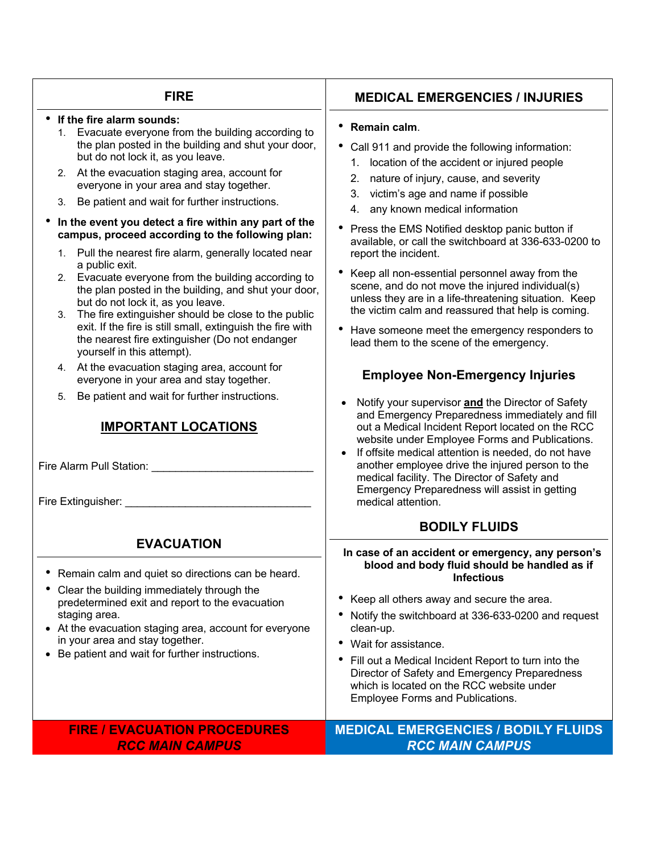### **FIRE**

#### • **If the fire alarm sounds:**

- 1. Evacuate everyone from the building according to the plan posted in the building and shut your door, but do not lock it, as you leave.
- 2. At the evacuation staging area, account for everyone in your area and stay together.
- 3. Be patient and wait for further instructions.
- **In the event you detect a fire within any part of the campus, proceed according to the following plan:**
	- 1. Pull the nearest fire alarm, generally located near a public exit.
	- 2. Evacuate everyone from the building according to the plan posted in the building, and shut your door, but do not lock it, as you leave.
	- 3. The fire extinguisher should be close to the public exit. If the fire is still small, extinguish the fire with the nearest fire extinguisher (Do not endanger yourself in this attempt).
	- 4. At the evacuation staging area, account for everyone in your area and stay together.
	- 5. Be patient and wait for further instructions.

# **IMPORTANT LOCATIONS**

Fire Alarm Pull Station: \_\_\_\_\_\_\_\_\_\_\_\_\_\_\_\_\_\_\_\_\_\_\_\_\_\_\_

Fire Extinguisher: \_\_\_\_\_\_\_\_\_\_\_\_\_\_\_\_\_\_\_\_\_\_\_\_\_\_\_\_\_\_\_

# **EVACUATION**

- Remain calm and quiet so directions can be heard.
- Clear the building immediately through the predetermined exit and report to the evacuation staging area.
- At the evacuation staging area, account for everyone in your area and stay together.
- Be patient and wait for further instructions.

# • Call 911 and provide the following information:

• **Remain calm**.

- 1. location of the accident or injured people
- 2. nature of injury, cause, and severity
- 3. victim's age and name if possible
- 4. any known medical information
- Press the EMS Notified desktop panic button if available, or call the switchboard at 336-633-0200 to report the incident.
- Keep all non-essential personnel away from the scene, and do not move the injured individual(s) unless they are in a life-threatening situation. Keep the victim calm and reassured that help is coming.
- Have someone meet the emergency responders to lead them to the scene of the emergency.

# **Employee Non-Emergency Injuries**

- Notify your supervisor **and** the Director of Safety and Emergency Preparedness immediately and fill out a Medical Incident Report located on the RCC website under Employee Forms and Publications.
- If offsite medical attention is needed, do not have another employee drive the injured person to the medical facility. The Director of Safety and Emergency Preparedness will assist in getting medical attention.

# **BODILY FLUIDS**

**In case of an accident or emergency, any person's blood and body fluid should be handled as if Infectious**

- Keep all others away and secure the area.
- Notify the switchboard at 336-633-0200 and request clean-up.
- Wait for assistance.
- Fill out a Medical Incident Report to turn into the Director of Safety and Emergency Preparedness which is located on the RCC website under Employee Forms and Publications.

### **FIRE / EVACUATION PROCEDURES** *RCC MAIN CAMPUS*

### **MEDICAL EMERGENCIES / BODILY FLUIDS** *RCC MAIN CAMPUS*

# **MEDICAL EMERGENCIES / INJURIES**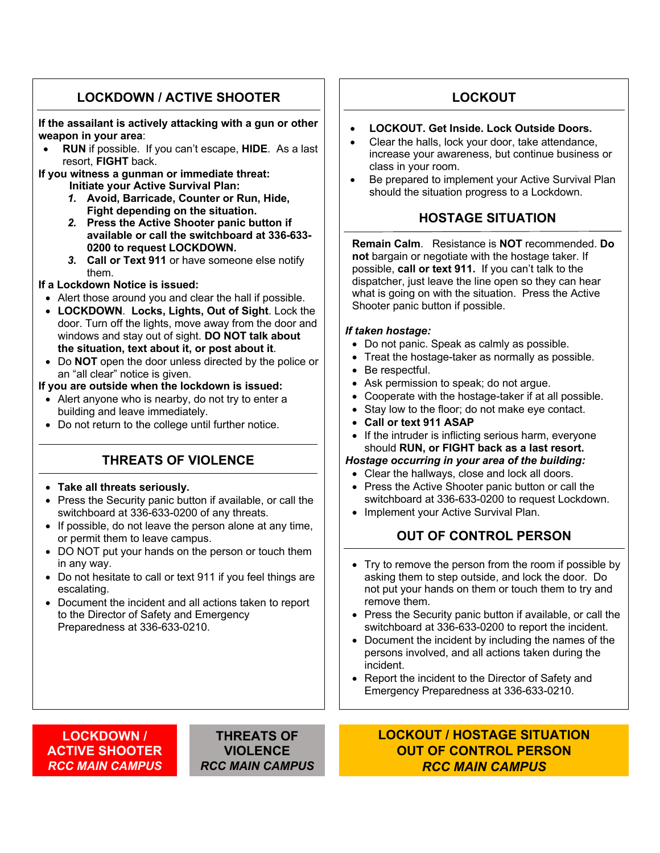# **LOCKDOWN / ACTIVE SHOOTER**

**If the assailant is actively attacking with a gun or other weapon in your area**:

- **RUN** if possible. If you can't escape, **HIDE**. As a last resort, **FIGHT** back.
- **If you witness a gunman or immediate threat: Initiate your Active Survival Plan:**
	- *1.* **Avoid, Barricade, Counter or Run, Hide, Fight depending on the situation.**
	- *2.* **Press the Active Shooter panic button if available or call the switchboard at 336-633- 0200 to request LOCKDOWN.**
	- *3.* **Call or Text 911** or have someone else notify them.

#### **If a Lockdown Notice is issued:**

- Alert those around you and clear the hall if possible.
- **LOCKDOWN**. **Locks, Lights, Out of Sight**. Lock the door. Turn off the lights, move away from the door and windows and stay out of sight. **DO NOT talk about the situation, text about it, or post about it**.
- Do **NOT** open the door unless directed by the police or an "all clear" notice is given.

**If you are outside when the lockdown is issued:**

- Alert anyone who is nearby, do not try to enter a building and leave immediately.
- Do not return to the college until further notice.

# **THREATS OF VIOLENCE**

#### • **Take all threats seriously.**

- Press the Security panic button if available, or call the switchboard at 336-633-0200 of any threats.
- If possible, do not leave the person alone at any time, or permit them to leave campus.
- DO NOT put your hands on the person or touch them in any way.
- Do not hesitate to call or text 911 if you feel things are escalating.
- Document the incident and all actions taken to report to the Director of Safety and Emergency Preparedness at 336-633-0210.

# **LOCKOUT**

- **LOCKOUT. Get Inside. Lock Outside Doors.**
- Clear the halls, lock your door, take attendance, increase your awareness, but continue business or class in your room.
- Be prepared to implement your Active Survival Plan should the situation progress to a Lockdown.

# **HOSTAGE SITUATION**

**Remain Calm**. Resistance is **NOT** recommended. **Do not** bargain or negotiate with the hostage taker. If possible, **call or text 911.** If you can't talk to the dispatcher, just leave the line open so they can hear what is going on with the situation. Press the Active Shooter panic button if possible.

#### *If taken hostage:*

- Do not panic. Speak as calmly as possible.
- Treat the hostage-taker as normally as possible.
- Be respectful.
- Ask permission to speak; do not argue.
- Cooperate with the hostage-taker if at all possible.
- Stay low to the floor; do not make eye contact.
- **Call or text 911 ASAP**
- If the intruder is inflicting serious harm, everyone should **RUN, or FIGHT back as a last resort.**

#### *Hostage occurring in your area of the building:*

- Clear the hallways, close and lock all doors.
- Press the Active Shooter panic button or call the switchboard at 336-633-0200 to request Lockdown.
- Implement your Active Survival Plan.

# **OUT OF CONTROL PERSON**

- Try to remove the person from the room if possible by asking them to step outside, and lock the door. Do not put your hands on them or touch them to try and remove them.
- Press the Security panic button if available, or call the switchboard at 336-633-0200 to report the incident.
- Document the incident by including the names of the persons involved, and all actions taken during the incident.
- Report the incident to the Director of Safety and Emergency Preparedness at 336-633-0210.

#### **LOCKDOWN / ACTIVE SHOOTER** *RCC MAIN CAMPUS*

#### **THREATS OF VIOLENCE** *RCC MAIN CAMPUS*

### **LOCKOUT / HOSTAGE SITUATION OUT OF CONTROL PERSON** *RCC MAIN CAMPUS*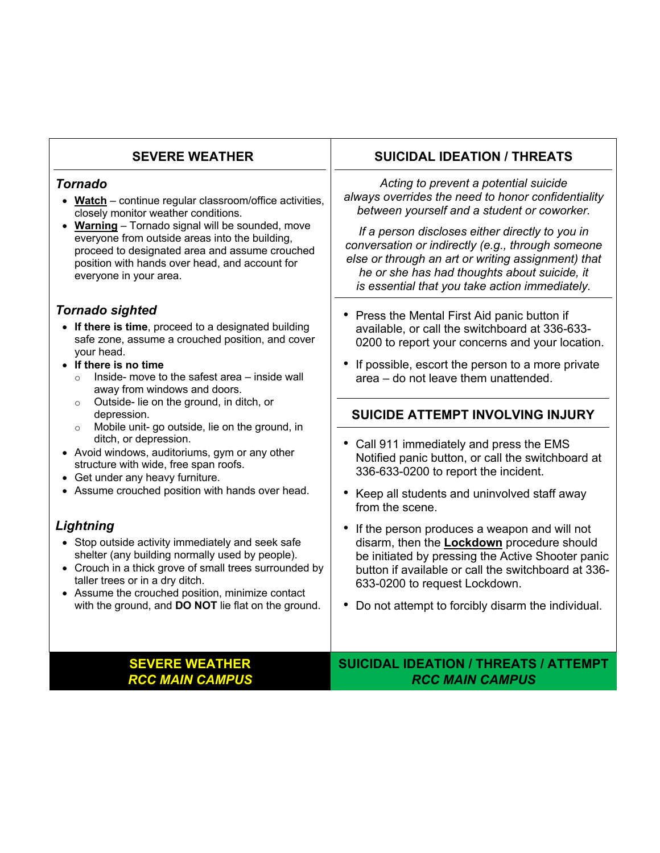| <b>SEVERE WEATHER</b>                                                                                                                                                                                                                                                                                                                                                                                                                                                                                                      | <b>SUICIDAL IDEATION / THREATS</b>                                                                                                                                                                                                                                                                                                                                                                                                |
|----------------------------------------------------------------------------------------------------------------------------------------------------------------------------------------------------------------------------------------------------------------------------------------------------------------------------------------------------------------------------------------------------------------------------------------------------------------------------------------------------------------------------|-----------------------------------------------------------------------------------------------------------------------------------------------------------------------------------------------------------------------------------------------------------------------------------------------------------------------------------------------------------------------------------------------------------------------------------|
| <b>Tornado</b>                                                                                                                                                                                                                                                                                                                                                                                                                                                                                                             | Acting to prevent a potential suicide                                                                                                                                                                                                                                                                                                                                                                                             |
| Watch - continue regular classroom/office activities,                                                                                                                                                                                                                                                                                                                                                                                                                                                                      | always overrides the need to honor confidentiality                                                                                                                                                                                                                                                                                                                                                                                |
| closely monitor weather conditions.                                                                                                                                                                                                                                                                                                                                                                                                                                                                                        | between yourself and a student or coworker.                                                                                                                                                                                                                                                                                                                                                                                       |
| Warning - Tornado signal will be sounded, move                                                                                                                                                                                                                                                                                                                                                                                                                                                                             | If a person discloses either directly to you in                                                                                                                                                                                                                                                                                                                                                                                   |
| everyone from outside areas into the building,                                                                                                                                                                                                                                                                                                                                                                                                                                                                             | conversation or indirectly (e.g., through someone                                                                                                                                                                                                                                                                                                                                                                                 |
| proceed to designated area and assume crouched                                                                                                                                                                                                                                                                                                                                                                                                                                                                             | else or through an art or writing assignment) that                                                                                                                                                                                                                                                                                                                                                                                |
| position with hands over head, and account for                                                                                                                                                                                                                                                                                                                                                                                                                                                                             | he or she has had thoughts about suicide, it                                                                                                                                                                                                                                                                                                                                                                                      |
| everyone in your area.                                                                                                                                                                                                                                                                                                                                                                                                                                                                                                     | is essential that you take action immediately.                                                                                                                                                                                                                                                                                                                                                                                    |
| <b>Tornado sighted</b><br>• If there is time, proceed to a designated building<br>safe zone, assume a crouched position, and cover<br>your head.<br>If there is no time<br>Inside- move to the safest area - inside wall<br>$\circ$<br>away from windows and doors.<br>Outside- lie on the ground, in ditch, or<br>$\circ$<br>depression.<br>Mobile unit- go outside, lie on the ground, in<br>$\circ$<br>ditch, or depression.<br>• Avoid windows, auditoriums, gym or any other<br>structure with wide, free span roofs. | • Press the Mental First Aid panic button if<br>available, or call the switchboard at 336-633-<br>0200 to report your concerns and your location.<br>• If possible, escort the person to a more private<br>area - do not leave them unattended.<br><b>SUICIDE ATTEMPT INVOLVING INJURY</b><br>Call 911 immediately and press the EMS<br>Notified panic button, or call the switchboard at<br>336-633-0200 to report the incident. |
| Get under any heavy furniture.                                                                                                                                                                                                                                                                                                                                                                                                                                                                                             | • Keep all students and uninvolved staff away                                                                                                                                                                                                                                                                                                                                                                                     |
| Assume crouched position with hands over head.                                                                                                                                                                                                                                                                                                                                                                                                                                                                             | from the scene.                                                                                                                                                                                                                                                                                                                                                                                                                   |
| Lightning                                                                                                                                                                                                                                                                                                                                                                                                                                                                                                                  | If the person produces a weapon and will not                                                                                                                                                                                                                                                                                                                                                                                      |
| • Stop outside activity immediately and seek safe                                                                                                                                                                                                                                                                                                                                                                                                                                                                          | $\bullet$                                                                                                                                                                                                                                                                                                                                                                                                                         |
| shelter (any building normally used by people).                                                                                                                                                                                                                                                                                                                                                                                                                                                                            | disarm, then the <b>Lockdown</b> procedure should                                                                                                                                                                                                                                                                                                                                                                                 |
| • Crouch in a thick grove of small trees surrounded by                                                                                                                                                                                                                                                                                                                                                                                                                                                                     | be initiated by pressing the Active Shooter panic                                                                                                                                                                                                                                                                                                                                                                                 |
| taller trees or in a dry ditch.                                                                                                                                                                                                                                                                                                                                                                                                                                                                                            | button if available or call the switchboard at 336-                                                                                                                                                                                                                                                                                                                                                                               |
| • Assume the crouched position, minimize contact                                                                                                                                                                                                                                                                                                                                                                                                                                                                           | 633-0200 to request Lockdown.                                                                                                                                                                                                                                                                                                                                                                                                     |
| with the ground, and DO NOT lie flat on the ground.                                                                                                                                                                                                                                                                                                                                                                                                                                                                        | Do not attempt to forcibly disarm the individual.                                                                                                                                                                                                                                                                                                                                                                                 |
| <b>SEVERE WEATHER</b>                                                                                                                                                                                                                                                                                                                                                                                                                                                                                                      | <b>SUICIDAL IDEATION / THREATS / ATTEMPT</b>                                                                                                                                                                                                                                                                                                                                                                                      |
| <b>RCC MAIN CAMPUS</b>                                                                                                                                                                                                                                                                                                                                                                                                                                                                                                     | <b>RCC MAIN CAMPUS</b>                                                                                                                                                                                                                                                                                                                                                                                                            |